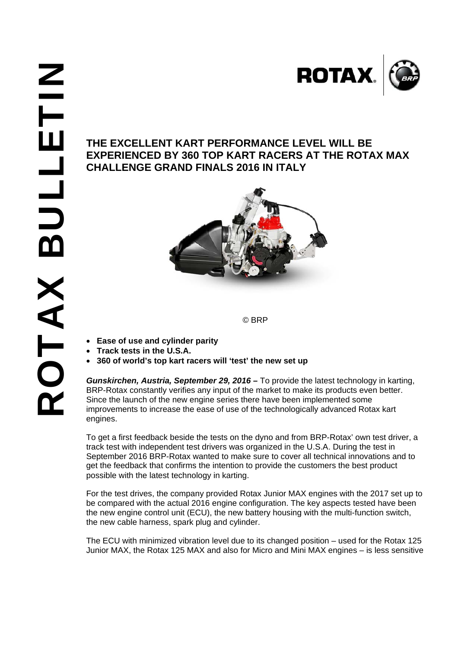

## **EXPERIENCED BY 360 TOP KART RACERS AT THE ROTAX MAX CHALLENGE GRAND FINALS 2016 IN ITALY**



© BRP

- **Ease of use and cylinder parity**
- **Track tests in the U.S.A.**
- **360 of world's top kart racers will 'test' the new set up**

*Gunskirchen, Austria, September 29, 2016 –* To provide the latest technology in karting, BRP-Rotax constantly verifies any input of the market to make its products even better. Since the launch of the new engine series there have been implemented some improvements to increase the ease of use of the technologically advanced Rotax kart engines.

To get a first feedback beside the tests on the dyno and from BRP-Rotax' own test driver, a track test with independent test drivers was organized in the U.S.A. During the test in September 2016 BRP-Rotax wanted to make sure to cover all technical innovations and to get the feedback that confirms the intention to provide the customers the best product possible with the latest technology in karting.

For the test drives, the company provided Rotax Junior MAX engines with the 2017 set up to be compared with the actual 2016 engine configuration. The key aspects tested have been the new engine control unit (ECU), the new battery housing with the multi-function switch, the new cable harness, spark plug and cylinder.

The ECU with minimized vibration level due to its changed position – used for the Rotax 125 Junior MAX, the Rotax 125 MAX and also for Micro and Mini MAX engines – is less sensitive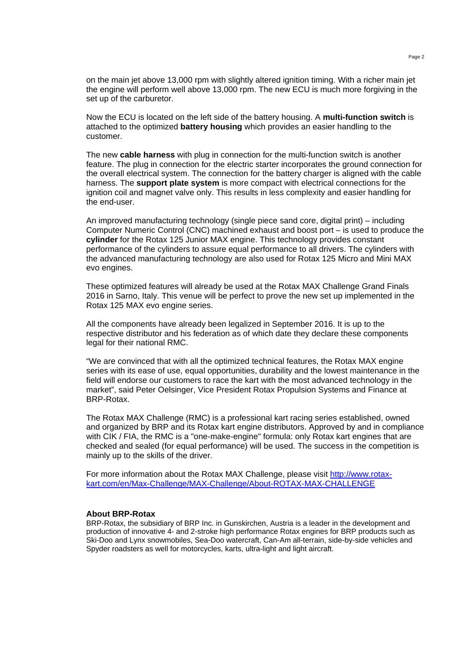on the main jet above 13,000 rpm with slightly altered ignition timing. With a richer main jet the engine will perform well above 13,000 rpm. The new ECU is much more forgiving in the set up of the carburetor.

Now the ECU is located on the left side of the battery housing. A **multi-function switch** is attached to the optimized **battery housing** which provides an easier handling to the customer.

The new **cable harness** with plug in connection for the multi-function switch is another feature. The plug in connection for the electric starter incorporates the ground connection for the overall electrical system. The connection for the battery charger is aligned with the cable harness. The **support plate system** is more compact with electrical connections for the ignition coil and magnet valve only. This results in less complexity and easier handling for the end-user.

An improved manufacturing technology (single piece sand core, digital print) – including Computer Numeric Control (CNC) machined exhaust and boost port – is used to produce the **cylinder** for the Rotax 125 Junior MAX engine. This technology provides constant performance of the cylinders to assure equal performance to all drivers. The cylinders with the advanced manufacturing technology are also used for Rotax 125 Micro and Mini MAX evo engines.

These optimized features will already be used at the Rotax MAX Challenge Grand Finals 2016 in Sarno, Italy. This venue will be perfect to prove the new set up implemented in the Rotax 125 MAX evo engine series.

All the components have already been legalized in September 2016. It is up to the respective distributor and his federation as of which date they declare these components legal for their national RMC.

"We are convinced that with all the optimized technical features, the Rotax MAX engine series with its ease of use, equal opportunities, durability and the lowest maintenance in the field will endorse our customers to race the kart with the most advanced technology in the market", said Peter Oelsinger, Vice President Rotax Propulsion Systems and Finance at BRP-Rotax.

The Rotax MAX Challenge (RMC) is a professional kart racing series established, owned and organized by BRP and its Rotax kart engine distributors. Approved by and in compliance with CIK / FIA, the RMC is a "one-make-engine" formula: only Rotax kart engines that are checked and sealed (for equal performance) will be used. The success in the competition is mainly up to the skills of the driver.

For more information about the Rotax MAX Challenge, please visit http://www.rotaxkart.com/en/Max-Challenge/MAX-Challenge/About-ROTAX-MAX-CHALLENGE

## **About BRP-Rotax**

BRP-Rotax, the subsidiary of BRP Inc. in Gunskirchen, Austria is a leader in the development and production of innovative 4- and 2-stroke high performance Rotax engines for BRP products such as Ski-Doo and Lynx snowmobiles, Sea-Doo watercraft, Can-Am all-terrain, side-by-side vehicles and Spyder roadsters as well for motorcycles, karts, ultra-light and light aircraft.